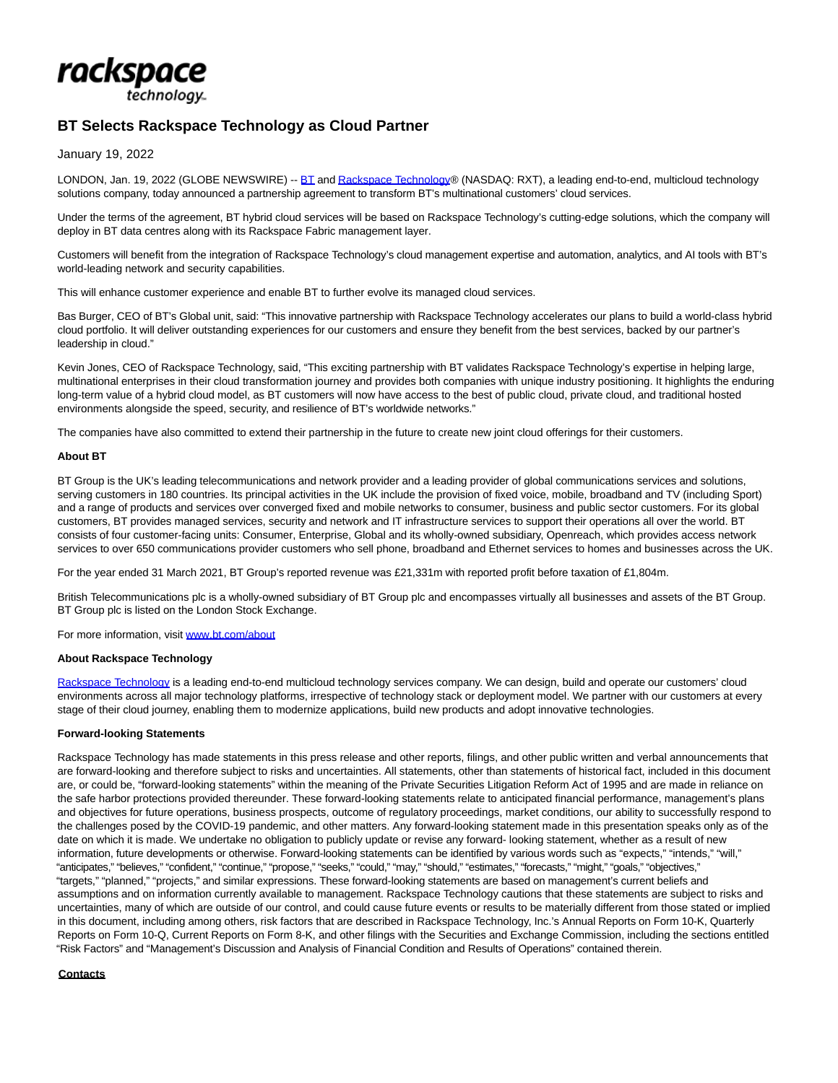

# **BT Selects Rackspace Technology as Cloud Partner**

January 19, 2022

LONDON, Jan. 19, 2022 (GLOBE NEWSWIRE) -- BI an[d Rackspace Technology®](https://www.globenewswire.com/Tracker?data=xub74oPK5IAa6PcguEBawX1XdKDhk8yExgRk1wpV8q_LGtGmWz8p9XBLFU73TDaTYMpymxPzU3cqszvmWatlJwmHPqxP92yEcwru5np81ks=) (NASDAQ: RXT), a leading end-to-end, multicloud technology solutions company, today announced a partnership agreement to transform BT's multinational customers' cloud services.

Under the terms of the agreement, BT hybrid cloud services will be based on Rackspace Technology's cutting-edge solutions, which the company will deploy in BT data centres along with its Rackspace Fabric management layer.

Customers will benefit from the integration of Rackspace Technology's cloud management expertise and automation, analytics, and AI tools with BT's world-leading network and security capabilities.

This will enhance customer experience and enable BT to further evolve its managed cloud services.

Bas Burger, CEO of BT's Global unit, said: "This innovative partnership with Rackspace Technology accelerates our plans to build a world-class hybrid cloud portfolio. It will deliver outstanding experiences for our customers and ensure they benefit from the best services, backed by our partner's leadership in cloud."

Kevin Jones, CEO of Rackspace Technology, said, "This exciting partnership with BT validates Rackspace Technology's expertise in helping large, multinational enterprises in their cloud transformation journey and provides both companies with unique industry positioning. It highlights the enduring long-term value of a hybrid cloud model, as BT customers will now have access to the best of public cloud, private cloud, and traditional hosted environments alongside the speed, security, and resilience of BT's worldwide networks."

The companies have also committed to extend their partnership in the future to create new joint cloud offerings for their customers.

#### **About BT**

BT Group is the UK's leading telecommunications and network provider and a leading provider of global communications services and solutions, serving customers in 180 countries. Its principal activities in the UK include the provision of fixed voice, mobile, broadband and TV (including Sport) and a range of products and services over converged fixed and mobile networks to consumer, business and public sector customers. For its global customers, BT provides managed services, security and network and IT infrastructure services to support their operations all over the world. BT consists of four customer-facing units: Consumer, Enterprise, Global and its wholly-owned subsidiary, Openreach, which provides access network services to over 650 communications provider customers who sell phone, broadband and Ethernet services to homes and businesses across the UK.

For the year ended 31 March 2021, BT Group's reported revenue was £21,331m with reported profit before taxation of £1,804m.

British Telecommunications plc is a wholly-owned subsidiary of BT Group plc and encompasses virtually all businesses and assets of the BT Group. BT Group plc is listed on the London Stock Exchange.

For more information, visit [www.bt.com/about](https://www.globenewswire.com/Tracker?data=NabtcLu1h3dLGqXqh3wnlO3QH8p3_ZJ6yd2jxrqwTIw7jIf1pZKzmZF5d_MoCGaz5VoWbleHmVKOcZMrpkmPww==)

#### **About Rackspace Technology**

[Rackspace Technology i](https://www.globenewswire.com/Tracker?data=xub74oPK5IAa6PcguEBaweJmePAcIDsFzRsGxA9j4YUX2k2CyDnFsmd89Qx7Md0Z6RwiZ97-XZEnGUxlEjfTy45wrwsc1aARnkG92H52CJ0=)s a leading end-to-end multicloud technology services company. We can design, build and operate our customers' cloud environments across all major technology platforms, irrespective of technology stack or deployment model. We partner with our customers at every stage of their cloud journey, enabling them to modernize applications, build new products and adopt innovative technologies.

#### **Forward-looking Statements**

Rackspace Technology has made statements in this press release and other reports, filings, and other public written and verbal announcements that are forward-looking and therefore subject to risks and uncertainties. All statements, other than statements of historical fact, included in this document are, or could be, "forward-looking statements" within the meaning of the Private Securities Litigation Reform Act of 1995 and are made in reliance on the safe harbor protections provided thereunder. These forward-looking statements relate to anticipated financial performance, management's plans and objectives for future operations, business prospects, outcome of regulatory proceedings, market conditions, our ability to successfully respond to the challenges posed by the COVID-19 pandemic, and other matters. Any forward-looking statement made in this presentation speaks only as of the date on which it is made. We undertake no obligation to publicly update or revise any forward- looking statement, whether as a result of new information, future developments or otherwise. Forward-looking statements can be identified by various words such as "expects," "intends," "will," "anticipates," "believes," "confident," "continue," "propose," "seeks," "could," "may," "should," "estimates," "forecasts," "might," "goals," "objectives," "targets," "planned," "projects," and similar expressions. These forward-looking statements are based on management's current beliefs and assumptions and on information currently available to management. Rackspace Technology cautions that these statements are subject to risks and uncertainties, many of which are outside of our control, and could cause future events or results to be materially different from those stated or implied in this document, including among others, risk factors that are described in Rackspace Technology, Inc.'s Annual Reports on Form 10-K, Quarterly Reports on Form 10-Q, Current Reports on Form 8-K, and other filings with the Securities and Exchange Commission, including the sections entitled "Risk Factors" and "Management's Discussion and Analysis of Financial Condition and Results of Operations" contained therein.

### **Contacts**